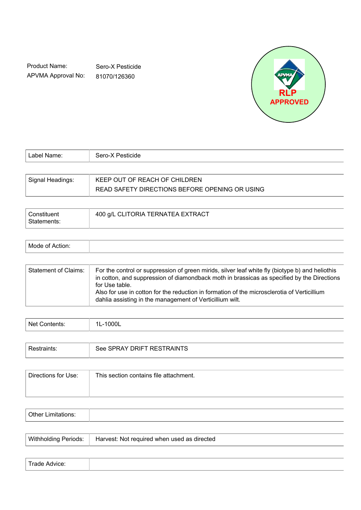Product Name: APVMA Approval No:

Sero-X Pesticide 81070/126360



| l Label Name: I  | Sero-X Pesticide              |
|------------------|-------------------------------|
|                  |                               |
| Signal Headings: | KEEP OUT OF REACH OF CHILDREN |

READ SAFETY DIRECTIONS BEFORE OPENING OR USING

| Constituent | 400 g/L CLITORIA TERNATEA EXTRACT |
|-------------|-----------------------------------|
| Statements: |                                   |

| AnoM<br>.<br>DТ<br>ACUOIL. |  |
|----------------------------|--|
|----------------------------|--|

| Statement of Claims: | For the control or suppression of green mirids, silver leaf white fly (biotype b) and heliothis<br>in cotton, and suppression of diamondback moth in brassicas as specified by the Directions<br>for Use table.<br>Also for use in cotton for the reduction in formation of the microsclerotia of Verticillium<br>dahlia assisting in the management of Verticillium wilt. |
|----------------------|----------------------------------------------------------------------------------------------------------------------------------------------------------------------------------------------------------------------------------------------------------------------------------------------------------------------------------------------------------------------------|
|----------------------|----------------------------------------------------------------------------------------------------------------------------------------------------------------------------------------------------------------------------------------------------------------------------------------------------------------------------------------------------------------------------|

| Δا<br>- 1<br>.<br>" ື |
|-----------------------|
|-----------------------|

|  | AY DRIFT RESTRAINTS<br>$\sim$<br>see<br>ĸА<br>ം വ∽∽<br>. ט∟ר |
|--|--------------------------------------------------------------|
|--|--------------------------------------------------------------|

| Directions for Use: | This section contains file attachment. |
|---------------------|----------------------------------------|
|                     |                                        |
|                     |                                        |

| <b>1+</b> |  |
|-----------|--|
|           |  |

| <b>Withholding Periods:</b> | Harvest: Not required when used as directed |
|-----------------------------|---------------------------------------------|
|                             |                                             |

| المصمر ا<br>Advice:<br>urade.<br>. |  |  |
|------------------------------------|--|--|
|------------------------------------|--|--|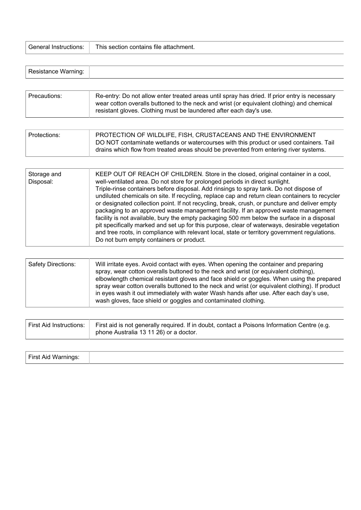| This section contains file attachment.<br>General Instructions: |
|-----------------------------------------------------------------|
|                                                                 |

| vanıny |
|--------|
|--------|

| Precautions: | Re-entry: Do not allow enter treated areas until spray has dried. If prior entry is necessary<br>wear cotton overalls buttoned to the neck and wrist (or equivalent clothing) and chemical<br>resistant gloves. Clothing must be laundered after each day's use. |
|--------------|------------------------------------------------------------------------------------------------------------------------------------------------------------------------------------------------------------------------------------------------------------------|
|--------------|------------------------------------------------------------------------------------------------------------------------------------------------------------------------------------------------------------------------------------------------------------------|

| Protections: | PROTECTION OF WILDLIFE, FISH, CRUSTACEANS AND THE ENVIRONMENT                          |
|--------------|----------------------------------------------------------------------------------------|
|              | DO NOT contaminate wetlands or watercourses with this product or used containers. Tail |
|              | drains which flow from treated areas should be prevented from entering river systems.  |

| Storage and<br>Disposal: | KEEP OUT OF REACH OF CHILDREN. Store in the closed, original container in a cool,<br>well-ventilated area. Do not store for prolonged periods in direct sunlight.<br>Triple-rinse containers before disposal. Add rinsings to spray tank. Do not dispose of<br>undiluted chemicals on site. If recycling, replace cap and return clean containers to recycler<br>or designated collection point. If not recycling, break, crush, or puncture and deliver empty<br>packaging to an approved waste management facility. If an approved waste management<br>facility is not available, bury the empty packaging 500 mm below the surface in a disposal<br>pit specifically marked and set up for this purpose, clear of waterways, desirable vegetation<br>and tree roots, in compliance with relevant local, state or territory government regulations.<br>Do not burn empty containers or product. |
|--------------------------|---------------------------------------------------------------------------------------------------------------------------------------------------------------------------------------------------------------------------------------------------------------------------------------------------------------------------------------------------------------------------------------------------------------------------------------------------------------------------------------------------------------------------------------------------------------------------------------------------------------------------------------------------------------------------------------------------------------------------------------------------------------------------------------------------------------------------------------------------------------------------------------------------|
|                          |                                                                                                                                                                                                                                                                                                                                                                                                                                                                                                                                                                                                                                                                                                                                                                                                                                                                                                   |

| First Aid Instructions: | First aid is not generally required. If in doubt, contact a Poisons Information Centre (e.g.<br>phone Australia 13 11 26) or a doctor. |
|-------------------------|----------------------------------------------------------------------------------------------------------------------------------------|
|-------------------------|----------------------------------------------------------------------------------------------------------------------------------------|

| First Aid Warnings: |  |
|---------------------|--|
|                     |  |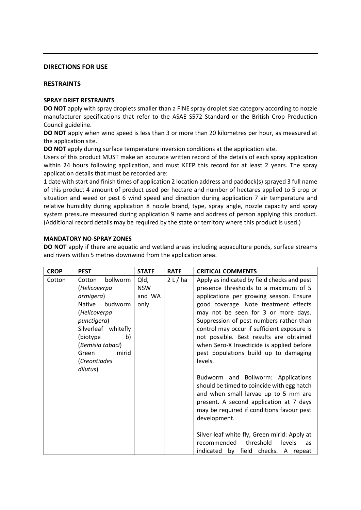## **DIRECTIONS FOR USE**

# **RESTRAINTS**

## **SPRAY DRIFT RESTRAINTS**

**DO NOT** apply with spray droplets smaller than a FINE spray droplet size category according to nozzle manufacturer specifications that refer to the ASAE S572 Standard or the British Crop Production Council guideline.

**DO NOT** apply when wind speed is less than 3 or more than 20 kilometres per hour, as measured at the application site.

**DO NOT** apply during surface temperature inversion conditions at the application site.

Users of this product MUST make an accurate written record of the details of each spray application within 24 hours following application, and must KEEP this record for at least 2 years. The spray application details that must be recorded are:

1 date with start and finish times of application 2 location address and paddock(s) sprayed 3 full name of this product 4 amount of product used per hectare and number of hectares applied to 5 crop or situation and weed or pest 6 wind speed and direction during application 7 air temperature and relative humidity during application 8 nozzle brand, type, spray angle, nozzle capacity and spray system pressure measured during application 9 name and address of person applying this product. (Additional record details may be required by the state or territory where this product is used.)

# **MANDATORY NO-SPRAY ZONES**

**DO NOT** apply if there are aquatic and wetland areas including aquaculture ponds, surface streams and rivers within 5 metres downwind from the application area.

| <b>CROP</b> | <b>PEST</b>                                                                                                                                                                                                            | <b>STATE</b>                         | <b>RATE</b> | <b>CRITICAL COMMENTS</b>                                                                                                                                                                                                                                                                                                                                                                                                                              |
|-------------|------------------------------------------------------------------------------------------------------------------------------------------------------------------------------------------------------------------------|--------------------------------------|-------------|-------------------------------------------------------------------------------------------------------------------------------------------------------------------------------------------------------------------------------------------------------------------------------------------------------------------------------------------------------------------------------------------------------------------------------------------------------|
| Cotton      | bollworm<br>Cotton<br>(Helicoverpa<br>armigera)<br>budworm<br><b>Native</b><br>(Helicoverpa<br>punctigera)<br>Silverleaf whitefly<br>(biotype)<br>b)<br>(Bemisia tabaci)<br>mirid<br>Green<br>(Creontiades<br>dilutus) | Qld,<br><b>NSW</b><br>and WA<br>only | $2L$ /ha    | Apply as indicated by field checks and pest<br>presence thresholds to a maximum of 5<br>applications per growing season. Ensure<br>good coverage. Note treatment effects<br>may not be seen for 3 or more days.<br>Suppression of pest numbers rather than<br>control may occur if sufficient exposure is<br>not possible. Best results are obtained<br>when Sero-X Insecticide is applied before<br>pest populations build up to damaging<br>levels. |
|             |                                                                                                                                                                                                                        |                                      |             | Budworm and Bollworm: Applications<br>should be timed to coincide with egg hatch<br>and when small larvae up to 5 mm are<br>present. A second application at 7 days<br>may be required if conditions favour pest<br>development.<br>Silver leaf white fly, Green mirid: Apply at<br>recommended<br>threshold<br>levels<br><b>as</b><br>by field checks. A repeat<br>indicated                                                                         |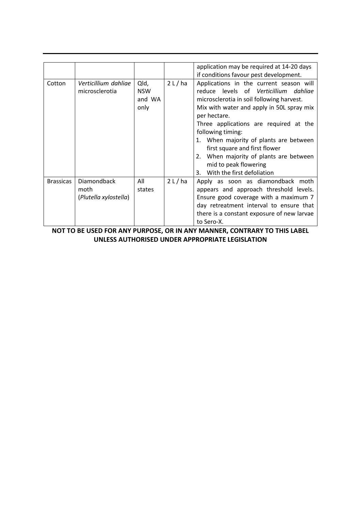|                  |                       |            |          | application may be required at 14-20 days  |
|------------------|-----------------------|------------|----------|--------------------------------------------|
|                  |                       |            |          | if conditions favour pest development.     |
| Cotton           | Verticillium dahliae  | Qld,       | 2 L / ha | Applications in the current season will    |
|                  | microsclerotia        | <b>NSW</b> |          | levels of Verticillium dahliae<br>reduce   |
|                  |                       | and WA     |          | microsclerotia in soil following harvest.  |
|                  |                       | only       |          | Mix with water and apply in 50L spray mix  |
|                  |                       |            |          | per hectare.                               |
|                  |                       |            |          | Three applications are required at the     |
|                  |                       |            |          | following timing:                          |
|                  |                       |            |          | 1. When majority of plants are between     |
|                  |                       |            |          | first square and first flower              |
|                  |                       |            |          | 2. When majority of plants are between     |
|                  |                       |            |          | mid to peak flowering                      |
|                  |                       |            |          | With the first defoliation<br>3.           |
| <b>Brassicas</b> | Diamondback           | All        | $2L$ /ha | Apply as soon as diamondback moth          |
|                  | moth                  | states     |          | appears and approach threshold levels.     |
|                  | (Plutella xylostella) |            |          | Ensure good coverage with a maximum 7      |
|                  |                       |            |          | day retreatment interval to ensure that    |
|                  |                       |            |          | there is a constant exposure of new larvae |
|                  |                       |            |          | to Sero-X.                                 |

**NOT TO BE USED FOR ANY PURPOSE, OR IN ANY MANNER, CONTRARY TO THIS LABEL UNLESS AUTHORISED UNDER APPROPRIATE LEGISLATION**